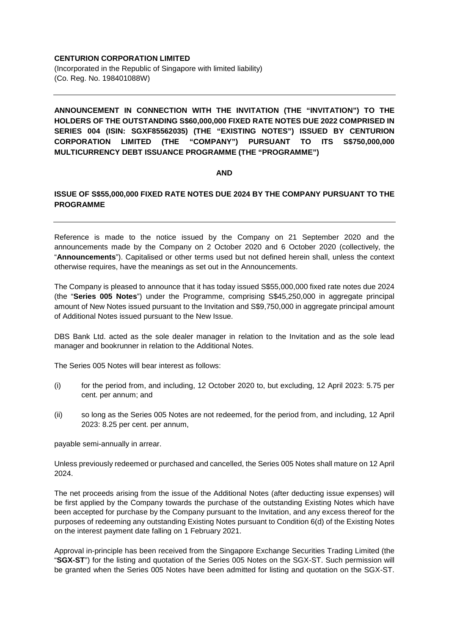## **CENTURION CORPORATION LIMITED**

(Incorporated in the Republic of Singapore with limited liability) (Co. Reg. No. 198401088W)

**ANNOUNCEMENT IN CONNECTION WITH THE INVITATION (THE "INVITATION") TO THE HOLDERS OF THE OUTSTANDING S\$60,000,000 FIXED RATE NOTES DUE 2022 COMPRISED IN SERIES 004 (ISIN: SGXF85562035) (THE "EXISTING NOTES") ISSUED BY CENTURION CORPORATION LIMITED (THE "COMPANY") PURSUANT TO ITS S\$750,000,000 MULTICURRENCY DEBT ISSUANCE PROGRAMME (THE "PROGRAMME")**

## **AND**

## **ISSUE OF S\$55,000,000 FIXED RATE NOTES DUE 2024 BY THE COMPANY PURSUANT TO THE PROGRAMME**

Reference is made to the notice issued by the Company on 21 September 2020 and the announcements made by the Company on 2 October 2020 and 6 October 2020 (collectively, the "**Announcements**"). Capitalised or other terms used but not defined herein shall, unless the context otherwise requires, have the meanings as set out in the Announcements.

The Company is pleased to announce that it has today issued S\$55,000,000 fixed rate notes due 2024 (the "**Series 005 Notes**") under the Programme, comprising S\$45,250,000 in aggregate principal amount of New Notes issued pursuant to the Invitation and S\$9,750,000 in aggregate principal amount of Additional Notes issued pursuant to the New Issue.

DBS Bank Ltd. acted as the sole dealer manager in relation to the Invitation and as the sole lead manager and bookrunner in relation to the Additional Notes.

The Series 005 Notes will bear interest as follows:

- (i) for the period from, and including, 12 October 2020 to, but excluding, 12 April 2023: 5.75 per cent. per annum; and
- (ii) so long as the Series 005 Notes are not redeemed, for the period from, and including, 12 April 2023: 8.25 per cent. per annum,

payable semi-annually in arrear.

Unless previously redeemed or purchased and cancelled, the Series 005 Notes shall mature on 12 April 2024.

The net proceeds arising from the issue of the Additional Notes (after deducting issue expenses) will be first applied by the Company towards the purchase of the outstanding Existing Notes which have been accepted for purchase by the Company pursuant to the Invitation, and any excess thereof for the purposes of redeeming any outstanding Existing Notes pursuant to Condition 6(d) of the Existing Notes on the interest payment date falling on 1 February 2021.

Approval in-principle has been received from the Singapore Exchange Securities Trading Limited (the "**SGX-ST**") for the listing and quotation of the Series 005 Notes on the SGX-ST. Such permission will be granted when the Series 005 Notes have been admitted for listing and quotation on the SGX-ST.